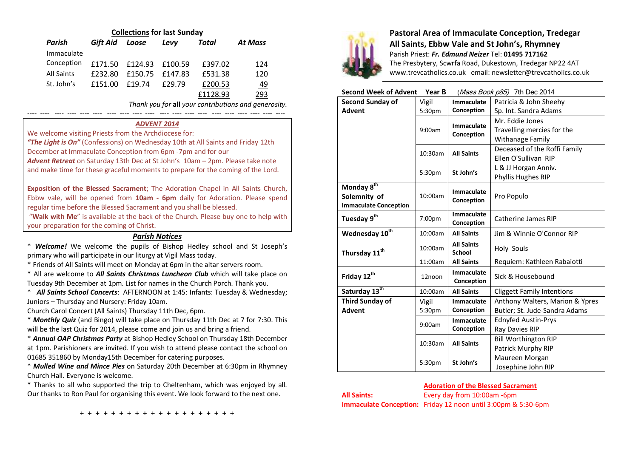| <b>Collections for last Sunday</b> |          |         |         |          |                |  |  |  |  |
|------------------------------------|----------|---------|---------|----------|----------------|--|--|--|--|
| Parish                             | Gift Aid | Loose   | Levy    | Total    | <b>At Mass</b> |  |  |  |  |
| Immaculate                         |          |         |         |          |                |  |  |  |  |
| Conception                         | £171.50  | £124.93 | £100.59 | £397.02  | 124            |  |  |  |  |
| <b>All Saints</b>                  | £232.80  | £150.75 | f147.83 | £531.38  | 120            |  |  |  |  |
| St. John's                         | £151.00  | f19.74  | £29.79  | £200.53  | <u>49</u>      |  |  |  |  |
|                                    |          |         |         | £1128.93 | 293            |  |  |  |  |

*Thank you for* **all** *your contributions and generosity.*

---- ---- ---- ---- ---- ---- ---- ---- ---- ---- ---- ---- ---- ---- ---- ---- ---- ---- ---- ----

# *ADVENT 2014*

We welcome visiting Priests from the Archdiocese for:

*"The Light is On"* (Confessions) on Wednesday 10th at All Saints and Friday 12th December at Immaculate Conception from 6pm -7pm and for our *Advent Retreat* on Saturday 13th Dec at St John's 10am – 2pm. Please take note and make time for these graceful moments to prepare for the coming of the Lord.

**Exposition of the Blessed Sacrament**; The Adoration Chapel in All Saints Church, Ebbw vale, will be opened from **10am - 6pm** daily for Adoration. Please spend regular time before the Blessed Sacrament and you shall be blessed.

"**Walk with Me**" is available at the back of the Church. Please buy one to help with your preparation for the coming of Christ.

### *Parish Notices*

\* *Welcome!* We welcome the pupils of Bishop Hedley school and St Joseph's primary who will participate in our liturgy at Vigil Mass today.

\* Friends of All Saints will meet on Monday at 6pm in the altar servers room.

\* All are welcome to *All Saints Christmas Luncheon Club* which will take place on Tuesday 9th December at 1pm. List for names in the Church Porch. Thank you.

\* *All Saints School Concerts*: AFTERNOON at 1:45: Infants: Tuesday & Wednesday; Juniors – Thursday and Nursery: Friday 10am.

Church Carol Concert (All Saints) Thursday 11th Dec, 6pm.

\* *Monthly Quiz* (and Bingo) will take place on Thursday 11th Dec at 7 for 7:30. This will be the last Quiz for 2014, please come and join us and bring a friend.

\* *Annual OAP Christmas Party* at Bishop Hedley School on Thursday 18th December at 1pm. Parishioners are invited. If you wish to attend please contact the school on 01685 351860 by Monday15th December for catering purposes.

\* *Mulled Wine and Mince Pies* on Saturday 20th December at 6:30pm in Rhymney Church Hall. Everyone is welcome.

\* Thanks to all who supported the trip to Cheltenham, which was enjoyed by all. Our thanks to Ron Paul for organising this event. We look forward to the next one.



# **Pastoral Area of Immaculate Conception, Tredegar All Saints, Ebbw Vale and St John's, Rhymney** Parish Priest: *Fr. Edmund Neizer* Tel: **01495 717162** The Presbytery, Scwrfa Road, Dukestown, Tredegar NP22 4AT

www.trevcatholics.co.uk email: newsletter@trevcatholics.co.uk

# **Second Week of Advent Year B** (Mass Book p85) 7th Dec 2014

| <b>Second Sunday of</b>      | Vigil<br><b>Immaculate</b> |                                 | Patricia & John Sheehy            |  |
|------------------------------|----------------------------|---------------------------------|-----------------------------------|--|
| <b>Advent</b>                | 5:30pm                     | Conception                      | Sp. Int. Sandra Adams             |  |
|                              | 9:00am                     | <b>Immaculate</b>               | Mr. Eddie Jones                   |  |
|                              |                            | Conception                      | Travelling mercies for the        |  |
|                              |                            |                                 | Withanage Family                  |  |
|                              | 10:30am                    | <b>All Saints</b>               | Deceased of the Roffi Family      |  |
|                              |                            |                                 | Ellen O'Sullivan RIP              |  |
|                              | 5:30pm                     | St John's                       | L & JJ Horgan Anniv.              |  |
|                              |                            |                                 | Phyllis Hughes RIP                |  |
| Monday 8 <sup>th</sup>       |                            | <b>Immaculate</b>               |                                   |  |
| Solemnity of                 | 10:00am                    | Conception                      | Pro Populo                        |  |
| <b>Immaculate Conception</b> |                            |                                 |                                   |  |
| Tuesday 9 <sup>th</sup>      | 7:00pm                     | <b>Immaculate</b>               | Catherine James RIP               |  |
|                              |                            | Conception                      |                                   |  |
| Wednesday 10 <sup>th</sup>   | 10:00am                    | <b>All Saints</b>               | Jim & Winnie O'Connor RIP         |  |
|                              | 10:00am                    | <b>All Saints</b>               | <b>Holy Souls</b>                 |  |
| Thursday 11 <sup>th</sup>    |                            | <b>School</b>                   |                                   |  |
|                              | 11:00am                    | <b>All Saints</b>               | Requiem: Kathleen Rabaiotti       |  |
| Friday 12 <sup>th</sup>      | 12noon                     | <b>Immaculate</b><br>Conception | Sick & Housebound                 |  |
| Saturday 13 <sup>th</sup>    | 10:00am                    | <b>All Saints</b>               | <b>Cliggett Family Intentions</b> |  |
| <b>Third Sunday of</b>       | Vigil                      | <b>Immaculate</b>               | Anthony Walters, Marion & Ypres   |  |
| <b>Advent</b>                | 5:30pm                     | Conception                      | Butler; St. Jude-Sandra Adams     |  |
|                              | 9:00am                     | <b>Immaculate</b>               | <b>Ednyfed Austin-Prys</b>        |  |
|                              |                            | Conception                      | Ray Davies RIP                    |  |
|                              | 10:30am                    | <b>All Saints</b>               | <b>Bill Worthington RIP</b>       |  |
|                              |                            |                                 | Patrick Murphy RIP                |  |
|                              | 5:30pm                     | St John's                       | Maureen Morgan                    |  |
|                              |                            |                                 | Josephine John RIP                |  |

### **Adoration of the Blessed Sacrament**

**All Saints:** Every day from 10:00am -6pm

**Immaculate Conception:** Friday 12 noon until 3:00pm & 5:30-6pm